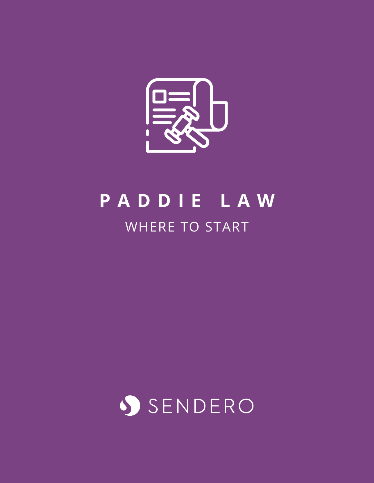

## **PADDIE LAW** WHERE TO START

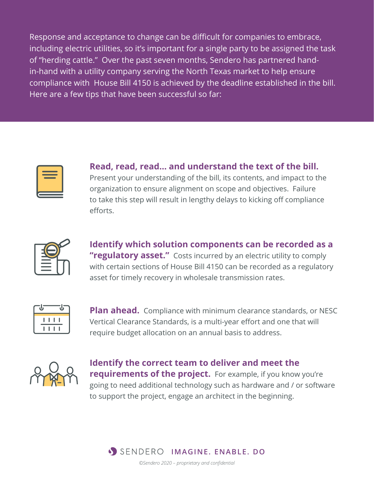Response and acceptance to change can be difficult for companies to embrace, including electric utilities, so it's important for a single party to be assigned the task of "herding cattle." Over the past seven months, Sendero has partnered handin-hand with a utility company serving the North Texas market to help ensure compliance with House Bill 4150 is achieved by the deadline established in the bill. Here are a few tips that have been successful so far:



**Read, read, read… and understand the text of the bill.** Present your understanding of the bill, its contents, and impact to the organization to ensure alignment on scope and objectives. Failure to take this step will result in lengthy delays to kicking off compliance efforts.

**Identify which solution components can be recorded as a**  "regulatory asset." Costs incurred by an electric utility to comply with certain sections of House Bill 4150 can be recorded as a regulatory asset for timely recovery in wholesale transmission rates.



**Plan ahead.** Compliance with minimum clearance standards, or NESC Vertical Clearance Standards, is a multi-year effort and one that will require budget allocation on an annual basis to address.



**Identify the correct team to deliver and meet the requirements of the project.** For example, if you know you're going to need additional technology such as hardware and / or software to support the project, engage an architect in the beginning.



*©Sendero 2020 – proprietary and confidential*